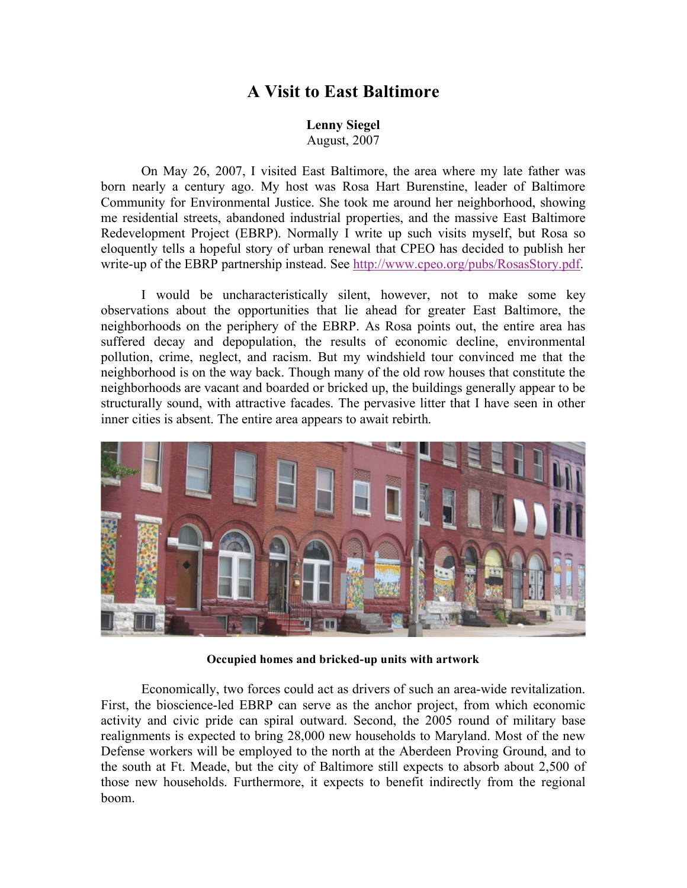## **A Visit to East Baltimore**

**Lenny Siegel** August, 2007

On May 26, 2007, I visited East Baltimore, the area where my late father was born nearly a century ago. My host was Rosa Hart Burenstine, leader of Baltimore Community for Environmental Justice. She took me around her neighborhood, showing me residential streets, abandoned industrial properties, and the massive East Baltimore Redevelopment Project (EBRP). Normally I write up such visits myself, but Rosa so eloquently tells a hopeful story of urban renewal that CPEO has decided to publish her write-up of the EBRP partnership instead. See http://www.cpeo.org/pubs/RosasStory.pdf.

I would be uncharacteristically silent, however, not to make some key observations about the opportunities that lie ahead for greater East Baltimore, the neighborhoods on the periphery of the EBRP. As Rosa points out, the entire area has suffered decay and depopulation, the results of economic decline, environmental pollution, crime, neglect, and racism. But my windshield tour convinced me that the neighborhood is on the way back. Though many of the old row houses that constitute the neighborhoods are vacant and boarded or bricked up, the buildings generally appear to be structurally sound, with attractive facades. The pervasive litter that I have seen in other inner cities is absent. The entire area appears to await rebirth.



**Occupied homes and bricked-up units with artwork**

Economically, two forces could act as drivers of such an area-wide revitalization. First, the bioscience-led EBRP can serve as the anchor project, from which economic activity and civic pride can spiral outward. Second, the 2005 round of military base realignments is expected to bring 28,000 new households to Maryland. Most of the new Defense workers will be employed to the north at the Aberdeen Proving Ground, and to the south at Ft. Meade, but the city of Baltimore still expects to absorb about 2,500 of those new households. Furthermore, it expects to benefit indirectly from the regional boom.